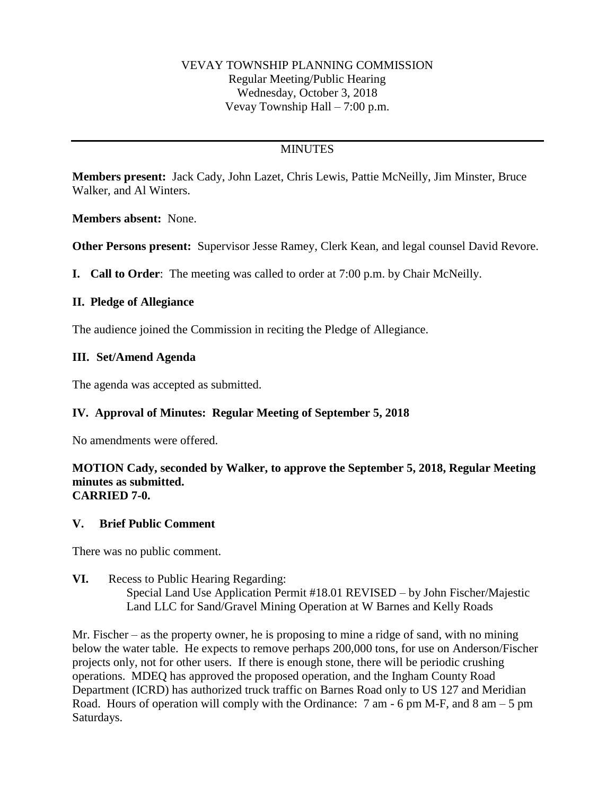#### VEVAY TOWNSHIP PLANNING COMMISSION Regular Meeting/Public Hearing Wednesday, October 3, 2018 Vevay Township Hall – 7:00 p.m.

## **MINUTES**

**Members present:** Jack Cady, John Lazet, Chris Lewis, Pattie McNeilly, Jim Minster, Bruce Walker, and Al Winters.

**Members absent:** None.

**Other Persons present:** Supervisor Jesse Ramey, Clerk Kean, and legal counsel David Revore.

**I. Call to Order**: The meeting was called to order at 7:00 p.m. by Chair McNeilly.

#### **II. Pledge of Allegiance**

The audience joined the Commission in reciting the Pledge of Allegiance.

#### **III. Set/Amend Agenda**

The agenda was accepted as submitted.

### **IV. Approval of Minutes: Regular Meeting of September 5, 2018**

No amendments were offered.

#### **MOTION Cady, seconded by Walker, to approve the September 5, 2018, Regular Meeting minutes as submitted. CARRIED 7-0.**

#### **V. Brief Public Comment**

There was no public comment.

**VI.** Recess to Public Hearing Regarding: Special Land Use Application Permit #18.01 REVISED – by John Fischer/Majestic Land LLC for Sand/Gravel Mining Operation at W Barnes and Kelly Roads

Mr. Fischer – as the property owner, he is proposing to mine a ridge of sand, with no mining below the water table. He expects to remove perhaps 200,000 tons, for use on Anderson/Fischer projects only, not for other users. If there is enough stone, there will be periodic crushing operations. MDEQ has approved the proposed operation, and the Ingham County Road Department (ICRD) has authorized truck traffic on Barnes Road only to US 127 and Meridian Road. Hours of operation will comply with the Ordinance:  $7 \text{ am } -6 \text{ pm } M$ -F, and  $8 \text{ am } -5 \text{ pm }$ Saturdays.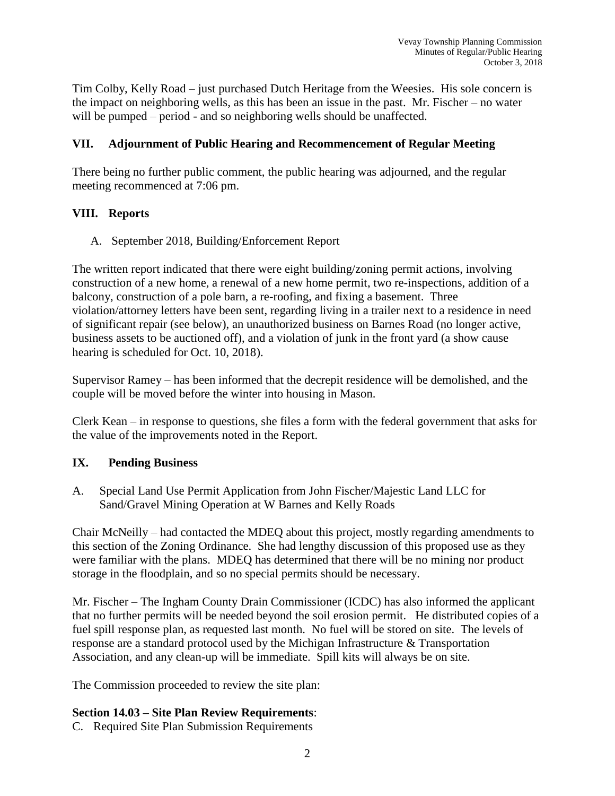Tim Colby, Kelly Road – just purchased Dutch Heritage from the Weesies. His sole concern is the impact on neighboring wells, as this has been an issue in the past. Mr. Fischer – no water will be pumped – period - and so neighboring wells should be unaffected.

## **VII. Adjournment of Public Hearing and Recommencement of Regular Meeting**

There being no further public comment, the public hearing was adjourned, and the regular meeting recommenced at 7:06 pm.

## **VIII. Reports**

A. September 2018, Building/Enforcement Report

The written report indicated that there were eight building/zoning permit actions, involving construction of a new home, a renewal of a new home permit, two re-inspections, addition of a balcony, construction of a pole barn, a re-roofing, and fixing a basement. Three violation/attorney letters have been sent, regarding living in a trailer next to a residence in need of significant repair (see below), an unauthorized business on Barnes Road (no longer active, business assets to be auctioned off), and a violation of junk in the front yard (a show cause hearing is scheduled for Oct. 10, 2018).

Supervisor Ramey – has been informed that the decrepit residence will be demolished, and the couple will be moved before the winter into housing in Mason.

Clerk Kean – in response to questions, she files a form with the federal government that asks for the value of the improvements noted in the Report.

# **IX. Pending Business**

A. Special Land Use Permit Application from John Fischer/Majestic Land LLC for Sand/Gravel Mining Operation at W Barnes and Kelly Roads

Chair McNeilly – had contacted the MDEQ about this project, mostly regarding amendments to this section of the Zoning Ordinance. She had lengthy discussion of this proposed use as they were familiar with the plans. MDEQ has determined that there will be no mining nor product storage in the floodplain, and so no special permits should be necessary.

Mr. Fischer – The Ingham County Drain Commissioner (ICDC) has also informed the applicant that no further permits will be needed beyond the soil erosion permit. He distributed copies of a fuel spill response plan, as requested last month. No fuel will be stored on site. The levels of response are a standard protocol used by the Michigan Infrastructure & Transportation Association, and any clean-up will be immediate. Spill kits will always be on site.

The Commission proceeded to review the site plan:

# **Section 14.03 – Site Plan Review Requirements**:

C. Required Site Plan Submission Requirements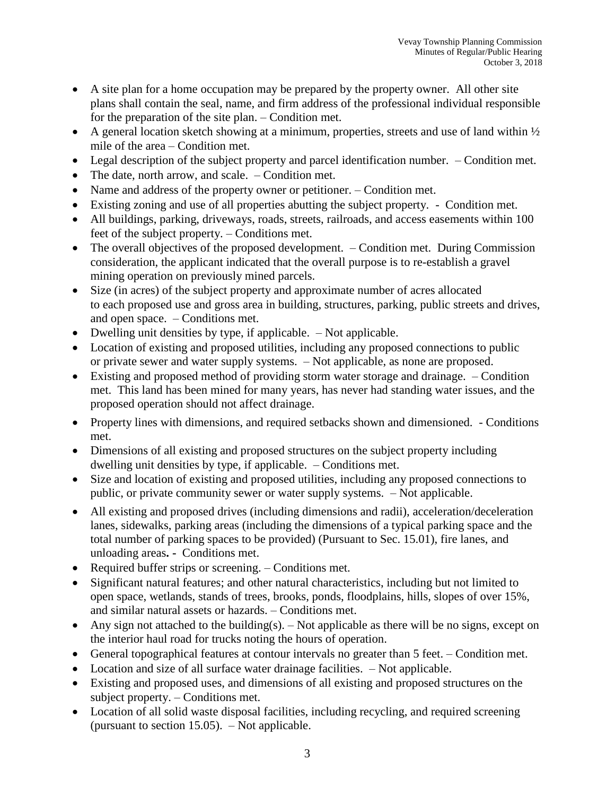- A site plan for a home occupation may be prepared by the property owner. All other site plans shall contain the seal, name, and firm address of the professional individual responsible for the preparation of the site plan. – Condition met.
- A general location sketch showing at a minimum, properties, streets and use of land within  $\frac{1}{2}$ mile of the area – Condition met.
- Legal description of the subject property and parcel identification number. Condition met.
- The date, north arrow, and scale. Condition met.
- Name and address of the property owner or petitioner. Condition met.
- Existing zoning and use of all properties abutting the subject property. Condition met.
- All buildings, parking, driveways, roads, streets, railroads, and access easements within 100 feet of the subject property. – Conditions met.
- The overall objectives of the proposed development. Condition met. During Commission consideration, the applicant indicated that the overall purpose is to re-establish a gravel mining operation on previously mined parcels.
- Size (in acres) of the subject property and approximate number of acres allocated to each proposed use and gross area in building, structures, parking, public streets and drives, and open space. – Conditions met.
- Dwelling unit densities by type, if applicable. Not applicable.
- Location of existing and proposed utilities, including any proposed connections to public or private sewer and water supply systems. – Not applicable, as none are proposed.
- Existing and proposed method of providing storm water storage and drainage. Condition met. This land has been mined for many years, has never had standing water issues, and the proposed operation should not affect drainage.
- Property lines with dimensions, and required setbacks shown and dimensioned. Conditions met.
- Dimensions of all existing and proposed structures on the subject property including dwelling unit densities by type, if applicable. – Conditions met.
- Size and location of existing and proposed utilities, including any proposed connections to public, or private community sewer or water supply systems. – Not applicable.
- All existing and proposed drives (including dimensions and radii), acceleration/deceleration lanes, sidewalks, parking areas (including the dimensions of a typical parking space and the total number of parking spaces to be provided) (Pursuant to Sec. 15.01), fire lanes, and unloading areas**. -** Conditions met.
- Required buffer strips or screening. Conditions met.
- Significant natural features; and other natural characteristics, including but not limited to open space, wetlands, stands of trees, brooks, ponds, floodplains, hills, slopes of over 15%, and similar natural assets or hazards. – Conditions met.
- Any sign not attached to the building(s).  $-$  Not applicable as there will be no signs, except on the interior haul road for trucks noting the hours of operation.
- General topographical features at contour intervals no greater than 5 feet. Condition met.
- Location and size of all surface water drainage facilities. Not applicable.
- Existing and proposed uses, and dimensions of all existing and proposed structures on the subject property. – Conditions met.
- Location of all solid waste disposal facilities, including recycling, and required screening (pursuant to section 15.05). – Not applicable.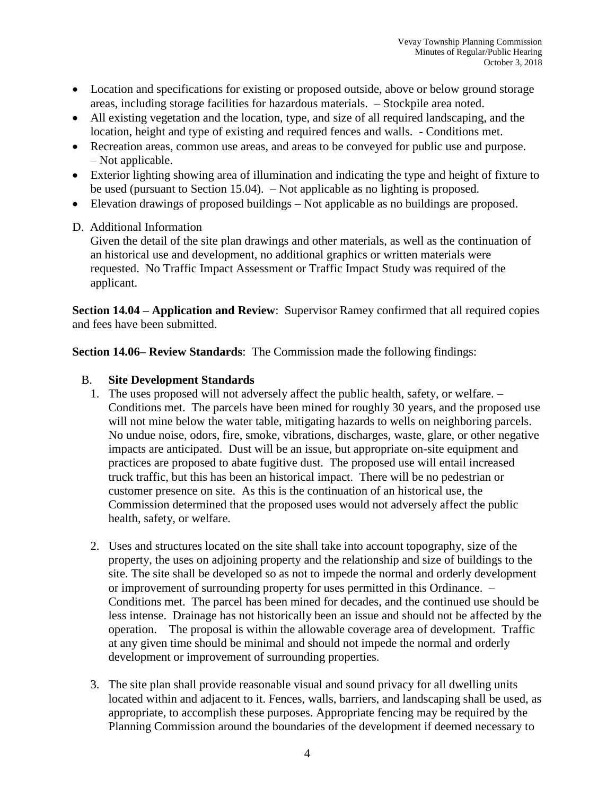- Location and specifications for existing or proposed outside, above or below ground storage areas, including storage facilities for hazardous materials. – Stockpile area noted.
- All existing vegetation and the location, type, and size of all required landscaping, and the location, height and type of existing and required fences and walls. - Conditions met.
- Recreation areas, common use areas, and areas to be conveyed for public use and purpose. – Not applicable.
- Exterior lighting showing area of illumination and indicating the type and height of fixture to be used (pursuant to Section 15.04). – Not applicable as no lighting is proposed.
- Elevation drawings of proposed buildings Not applicable as no buildings are proposed.

### D. Additional Information

Given the detail of the site plan drawings and other materials, as well as the continuation of an historical use and development, no additional graphics or written materials were requested. No Traffic Impact Assessment or Traffic Impact Study was required of the applicant.

**Section 14.04 – Application and Review**: Supervisor Ramey confirmed that all required copies and fees have been submitted.

**Section 14.06– Review Standards**: The Commission made the following findings:

## B. **Site Development Standards**

- 1. The uses proposed will not adversely affect the public health, safety, or welfare. Conditions met. The parcels have been mined for roughly 30 years, and the proposed use will not mine below the water table, mitigating hazards to wells on neighboring parcels. No undue noise, odors, fire, smoke, vibrations, discharges, waste, glare, or other negative impacts are anticipated. Dust will be an issue, but appropriate on-site equipment and practices are proposed to abate fugitive dust. The proposed use will entail increased truck traffic, but this has been an historical impact. There will be no pedestrian or customer presence on site. As this is the continuation of an historical use, the Commission determined that the proposed uses would not adversely affect the public health, safety, or welfare.
- 2. Uses and structures located on the site shall take into account topography, size of the property, the uses on adjoining property and the relationship and size of buildings to the site. The site shall be developed so as not to impede the normal and orderly development or improvement of surrounding property for uses permitted in this Ordinance. – Conditions met. The parcel has been mined for decades, and the continued use should be less intense. Drainage has not historically been an issue and should not be affected by the operation. The proposal is within the allowable coverage area of development. Traffic at any given time should be minimal and should not impede the normal and orderly development or improvement of surrounding properties.
- 3. The site plan shall provide reasonable visual and sound privacy for all dwelling units located within and adjacent to it. Fences, walls, barriers, and landscaping shall be used, as appropriate, to accomplish these purposes. Appropriate fencing may be required by the Planning Commission around the boundaries of the development if deemed necessary to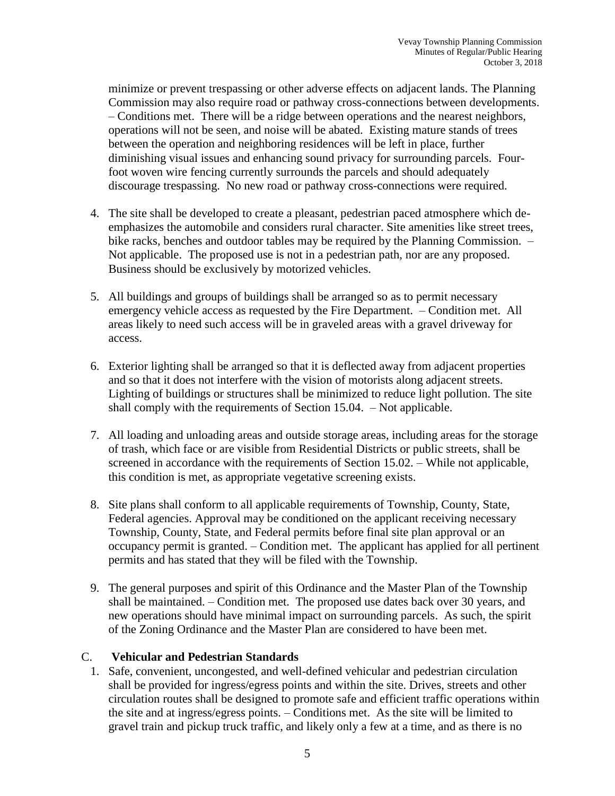minimize or prevent trespassing or other adverse effects on adjacent lands. The Planning Commission may also require road or pathway cross-connections between developments. – Conditions met. There will be a ridge between operations and the nearest neighbors, operations will not be seen, and noise will be abated. Existing mature stands of trees between the operation and neighboring residences will be left in place, further diminishing visual issues and enhancing sound privacy for surrounding parcels. Fourfoot woven wire fencing currently surrounds the parcels and should adequately discourage trespassing. No new road or pathway cross-connections were required.

- 4. The site shall be developed to create a pleasant, pedestrian paced atmosphere which deemphasizes the automobile and considers rural character. Site amenities like street trees, bike racks, benches and outdoor tables may be required by the Planning Commission. – Not applicable. The proposed use is not in a pedestrian path, nor are any proposed. Business should be exclusively by motorized vehicles.
- 5. All buildings and groups of buildings shall be arranged so as to permit necessary emergency vehicle access as requested by the Fire Department. – Condition met. All areas likely to need such access will be in graveled areas with a gravel driveway for access.
- 6. Exterior lighting shall be arranged so that it is deflected away from adjacent properties and so that it does not interfere with the vision of motorists along adjacent streets. Lighting of buildings or structures shall be minimized to reduce light pollution. The site shall comply with the requirements of Section 15.04. – Not applicable.
- 7. All loading and unloading areas and outside storage areas, including areas for the storage of trash, which face or are visible from Residential Districts or public streets, shall be screened in accordance with the requirements of Section 15.02. – While not applicable, this condition is met, as appropriate vegetative screening exists.
- 8. Site plans shall conform to all applicable requirements of Township, County, State, Federal agencies. Approval may be conditioned on the applicant receiving necessary Township, County, State, and Federal permits before final site plan approval or an occupancy permit is granted. – Condition met. The applicant has applied for all pertinent permits and has stated that they will be filed with the Township.
- 9. The general purposes and spirit of this Ordinance and the Master Plan of the Township shall be maintained. – Condition met. The proposed use dates back over 30 years, and new operations should have minimal impact on surrounding parcels. As such, the spirit of the Zoning Ordinance and the Master Plan are considered to have been met.

### C. **Vehicular and Pedestrian Standards**

1. Safe, convenient, uncongested, and well-defined vehicular and pedestrian circulation shall be provided for ingress/egress points and within the site. Drives, streets and other circulation routes shall be designed to promote safe and efficient traffic operations within the site and at ingress/egress points. – Conditions met. As the site will be limited to gravel train and pickup truck traffic, and likely only a few at a time, and as there is no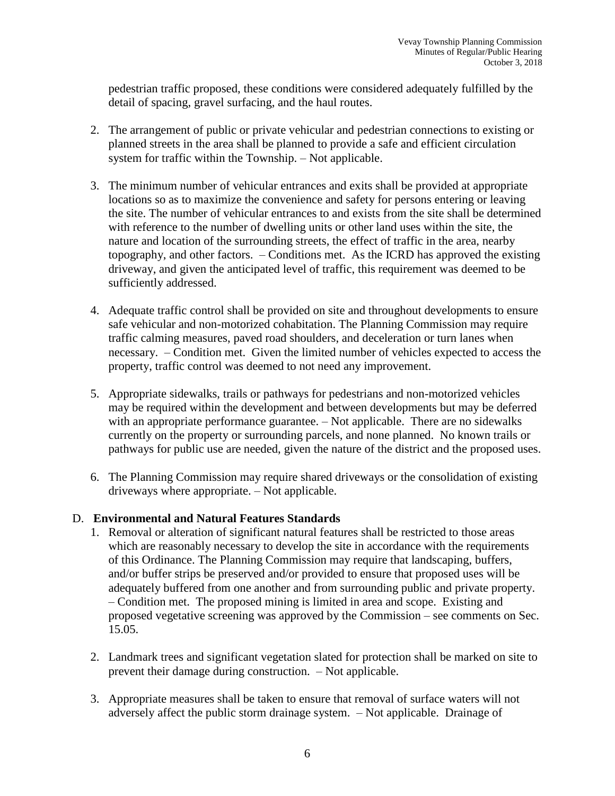pedestrian traffic proposed, these conditions were considered adequately fulfilled by the detail of spacing, gravel surfacing, and the haul routes.

- 2. The arrangement of public or private vehicular and pedestrian connections to existing or planned streets in the area shall be planned to provide a safe and efficient circulation system for traffic within the Township. – Not applicable.
- 3. The minimum number of vehicular entrances and exits shall be provided at appropriate locations so as to maximize the convenience and safety for persons entering or leaving the site. The number of vehicular entrances to and exists from the site shall be determined with reference to the number of dwelling units or other land uses within the site, the nature and location of the surrounding streets, the effect of traffic in the area, nearby topography, and other factors. – Conditions met. As the ICRD has approved the existing driveway, and given the anticipated level of traffic, this requirement was deemed to be sufficiently addressed.
- 4. Adequate traffic control shall be provided on site and throughout developments to ensure safe vehicular and non-motorized cohabitation. The Planning Commission may require traffic calming measures, paved road shoulders, and deceleration or turn lanes when necessary. – Condition met. Given the limited number of vehicles expected to access the property, traffic control was deemed to not need any improvement.
- 5. Appropriate sidewalks, trails or pathways for pedestrians and non-motorized vehicles may be required within the development and between developments but may be deferred with an appropriate performance guarantee. – Not applicable. There are no sidewalks currently on the property or surrounding parcels, and none planned. No known trails or pathways for public use are needed, given the nature of the district and the proposed uses.
- 6. The Planning Commission may require shared driveways or the consolidation of existing driveways where appropriate. – Not applicable.

### D. **Environmental and Natural Features Standards**

- 1. Removal or alteration of significant natural features shall be restricted to those areas which are reasonably necessary to develop the site in accordance with the requirements of this Ordinance. The Planning Commission may require that landscaping, buffers, and/or buffer strips be preserved and/or provided to ensure that proposed uses will be adequately buffered from one another and from surrounding public and private property. – Condition met. The proposed mining is limited in area and scope. Existing and proposed vegetative screening was approved by the Commission – see comments on Sec. 15.05.
- 2. Landmark trees and significant vegetation slated for protection shall be marked on site to prevent their damage during construction. – Not applicable.
- 3. Appropriate measures shall be taken to ensure that removal of surface waters will not adversely affect the public storm drainage system. – Not applicable. Drainage of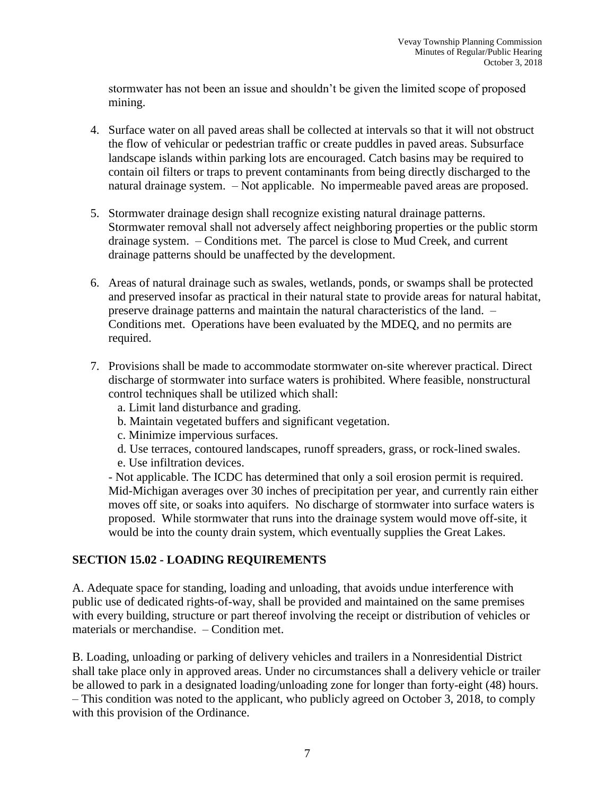stormwater has not been an issue and shouldn't be given the limited scope of proposed mining.

- 4. Surface water on all paved areas shall be collected at intervals so that it will not obstruct the flow of vehicular or pedestrian traffic or create puddles in paved areas. Subsurface landscape islands within parking lots are encouraged. Catch basins may be required to contain oil filters or traps to prevent contaminants from being directly discharged to the natural drainage system. – Not applicable. No impermeable paved areas are proposed.
- 5. Stormwater drainage design shall recognize existing natural drainage patterns. Stormwater removal shall not adversely affect neighboring properties or the public storm drainage system. – Conditions met. The parcel is close to Mud Creek, and current drainage patterns should be unaffected by the development.
- 6. Areas of natural drainage such as swales, wetlands, ponds, or swamps shall be protected and preserved insofar as practical in their natural state to provide areas for natural habitat, preserve drainage patterns and maintain the natural characteristics of the land. – Conditions met. Operations have been evaluated by the MDEQ, and no permits are required.
- 7. Provisions shall be made to accommodate stormwater on-site wherever practical. Direct discharge of stormwater into surface waters is prohibited. Where feasible, nonstructural control techniques shall be utilized which shall:
	- a. Limit land disturbance and grading.
	- b. Maintain vegetated buffers and significant vegetation.
	- c. Minimize impervious surfaces.
	- d. Use terraces, contoured landscapes, runoff spreaders, grass, or rock-lined swales.
	- e. Use infiltration devices.

- Not applicable. The ICDC has determined that only a soil erosion permit is required. Mid-Michigan averages over 30 inches of precipitation per year, and currently rain either moves off site, or soaks into aquifers. No discharge of stormwater into surface waters is proposed. While stormwater that runs into the drainage system would move off-site, it would be into the county drain system, which eventually supplies the Great Lakes.

### **SECTION 15.02 - LOADING REQUIREMENTS**

A. Adequate space for standing, loading and unloading, that avoids undue interference with public use of dedicated rights-of-way, shall be provided and maintained on the same premises with every building, structure or part thereof involving the receipt or distribution of vehicles or materials or merchandise. – Condition met.

B. Loading, unloading or parking of delivery vehicles and trailers in a Nonresidential District shall take place only in approved areas. Under no circumstances shall a delivery vehicle or trailer be allowed to park in a designated loading/unloading zone for longer than forty-eight (48) hours. – This condition was noted to the applicant, who publicly agreed on October 3, 2018, to comply with this provision of the Ordinance.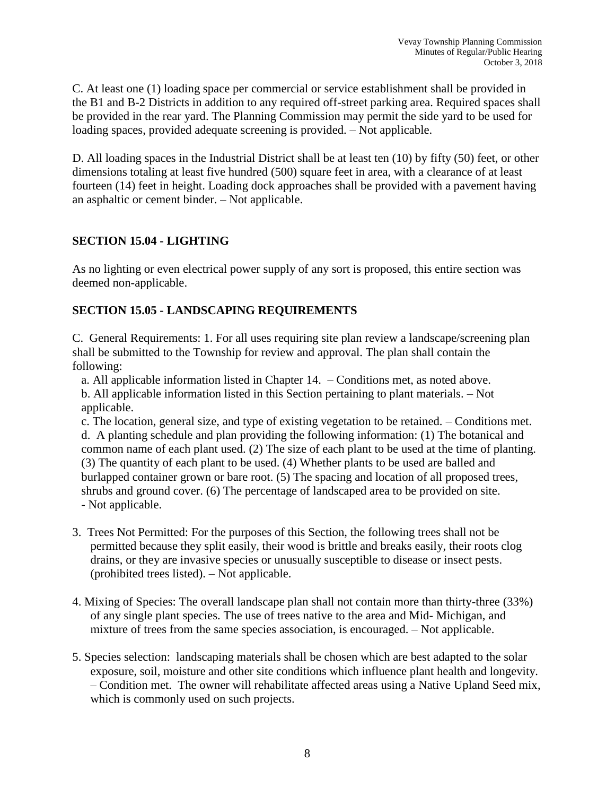C. At least one (1) loading space per commercial or service establishment shall be provided in the B1 and B-2 Districts in addition to any required off-street parking area. Required spaces shall be provided in the rear yard. The Planning Commission may permit the side yard to be used for loading spaces, provided adequate screening is provided. – Not applicable.

D. All loading spaces in the Industrial District shall be at least ten (10) by fifty (50) feet, or other dimensions totaling at least five hundred (500) square feet in area, with a clearance of at least fourteen (14) feet in height. Loading dock approaches shall be provided with a pavement having an asphaltic or cement binder. – Not applicable.

## **SECTION 15.04 - LIGHTING**

As no lighting or even electrical power supply of any sort is proposed, this entire section was deemed non-applicable.

# **SECTION 15.05 - LANDSCAPING REQUIREMENTS**

C. General Requirements: 1. For all uses requiring site plan review a landscape/screening plan shall be submitted to the Township for review and approval. The plan shall contain the following:

a. All applicable information listed in Chapter 14. – Conditions met, as noted above. b. All applicable information listed in this Section pertaining to plant materials. – Not applicable.

c. The location, general size, and type of existing vegetation to be retained. – Conditions met. d. A planting schedule and plan providing the following information: (1) The botanical and common name of each plant used. (2) The size of each plant to be used at the time of planting. (3) The quantity of each plant to be used. (4) Whether plants to be used are balled and burlapped container grown or bare root. (5) The spacing and location of all proposed trees, shrubs and ground cover. (6) The percentage of landscaped area to be provided on site. - Not applicable.

- 3. Trees Not Permitted: For the purposes of this Section, the following trees shall not be permitted because they split easily, their wood is brittle and breaks easily, their roots clog drains, or they are invasive species or unusually susceptible to disease or insect pests. (prohibited trees listed). – Not applicable.
- 4. Mixing of Species: The overall landscape plan shall not contain more than thirty-three (33%) of any single plant species. The use of trees native to the area and Mid- Michigan, and mixture of trees from the same species association, is encouraged. – Not applicable.
- 5. Species selection: landscaping materials shall be chosen which are best adapted to the solar exposure, soil, moisture and other site conditions which influence plant health and longevity. – Condition met. The owner will rehabilitate affected areas using a Native Upland Seed mix, which is commonly used on such projects.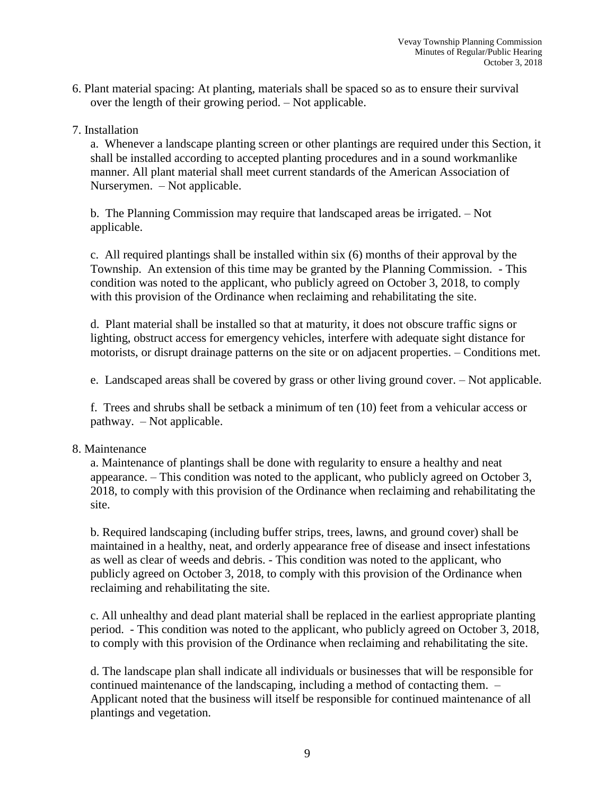- 6. Plant material spacing: At planting, materials shall be spaced so as to ensure their survival over the length of their growing period. – Not applicable.
- 7. Installation

a. Whenever a landscape planting screen or other plantings are required under this Section, it shall be installed according to accepted planting procedures and in a sound workmanlike manner. All plant material shall meet current standards of the American Association of Nurserymen. – Not applicable.

b. The Planning Commission may require that landscaped areas be irrigated. – Not applicable.

c. All required plantings shall be installed within six (6) months of their approval by the Township. An extension of this time may be granted by the Planning Commission. - This condition was noted to the applicant, who publicly agreed on October 3, 2018, to comply with this provision of the Ordinance when reclaiming and rehabilitating the site.

d. Plant material shall be installed so that at maturity, it does not obscure traffic signs or lighting, obstruct access for emergency vehicles, interfere with adequate sight distance for motorists, or disrupt drainage patterns on the site or on adjacent properties. – Conditions met.

e. Landscaped areas shall be covered by grass or other living ground cover. – Not applicable.

f. Trees and shrubs shall be setback a minimum of ten (10) feet from a vehicular access or pathway. – Not applicable.

#### 8. Maintenance

a. Maintenance of plantings shall be done with regularity to ensure a healthy and neat appearance. – This condition was noted to the applicant, who publicly agreed on October 3, 2018, to comply with this provision of the Ordinance when reclaiming and rehabilitating the site.

b. Required landscaping (including buffer strips, trees, lawns, and ground cover) shall be maintained in a healthy, neat, and orderly appearance free of disease and insect infestations as well as clear of weeds and debris. - This condition was noted to the applicant, who publicly agreed on October 3, 2018, to comply with this provision of the Ordinance when reclaiming and rehabilitating the site.

c. All unhealthy and dead plant material shall be replaced in the earliest appropriate planting period. - This condition was noted to the applicant, who publicly agreed on October 3, 2018, to comply with this provision of the Ordinance when reclaiming and rehabilitating the site.

d. The landscape plan shall indicate all individuals or businesses that will be responsible for continued maintenance of the landscaping, including a method of contacting them. – Applicant noted that the business will itself be responsible for continued maintenance of all plantings and vegetation.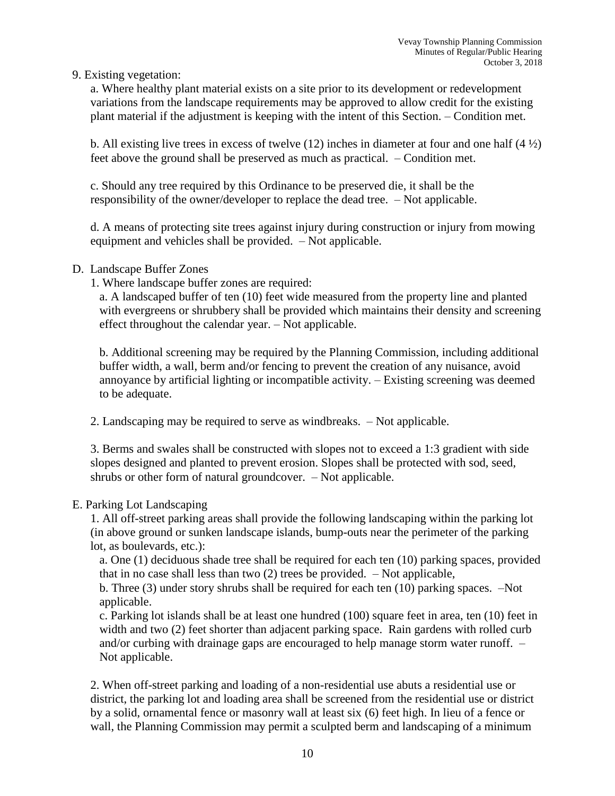### 9. Existing vegetation:

a. Where healthy plant material exists on a site prior to its development or redevelopment variations from the landscape requirements may be approved to allow credit for the existing plant material if the adjustment is keeping with the intent of this Section. – Condition met.

b. All existing live trees in excess of twelve (12) inches in diameter at four and one half  $(4 \frac{1}{2})$ feet above the ground shall be preserved as much as practical. – Condition met.

c. Should any tree required by this Ordinance to be preserved die, it shall be the responsibility of the owner/developer to replace the dead tree. – Not applicable.

d. A means of protecting site trees against injury during construction or injury from mowing equipment and vehicles shall be provided. – Not applicable.

## D. Landscape Buffer Zones

1. Where landscape buffer zones are required:

a. A landscaped buffer of ten (10) feet wide measured from the property line and planted with evergreens or shrubbery shall be provided which maintains their density and screening effect throughout the calendar year. – Not applicable.

b. Additional screening may be required by the Planning Commission, including additional buffer width, a wall, berm and/or fencing to prevent the creation of any nuisance, avoid annoyance by artificial lighting or incompatible activity. – Existing screening was deemed to be adequate.

2. Landscaping may be required to serve as windbreaks. – Not applicable.

3. Berms and swales shall be constructed with slopes not to exceed a 1:3 gradient with side slopes designed and planted to prevent erosion. Slopes shall be protected with sod, seed, shrubs or other form of natural groundcover. – Not applicable.

### E. Parking Lot Landscaping

1. All off-street parking areas shall provide the following landscaping within the parking lot (in above ground or sunken landscape islands, bump-outs near the perimeter of the parking lot, as boulevards, etc.):

a. One (1) deciduous shade tree shall be required for each ten (10) parking spaces, provided that in no case shall less than two  $(2)$  trees be provided.  $-$  Not applicable,

b. Three (3) under story shrubs shall be required for each ten (10) parking spaces. –Not applicable.

c. Parking lot islands shall be at least one hundred (100) square feet in area, ten (10) feet in width and two (2) feet shorter than adjacent parking space. Rain gardens with rolled curb and/or curbing with drainage gaps are encouraged to help manage storm water runoff. – Not applicable.

2. When off-street parking and loading of a non-residential use abuts a residential use or district, the parking lot and loading area shall be screened from the residential use or district by a solid, ornamental fence or masonry wall at least six (6) feet high. In lieu of a fence or wall, the Planning Commission may permit a sculpted berm and landscaping of a minimum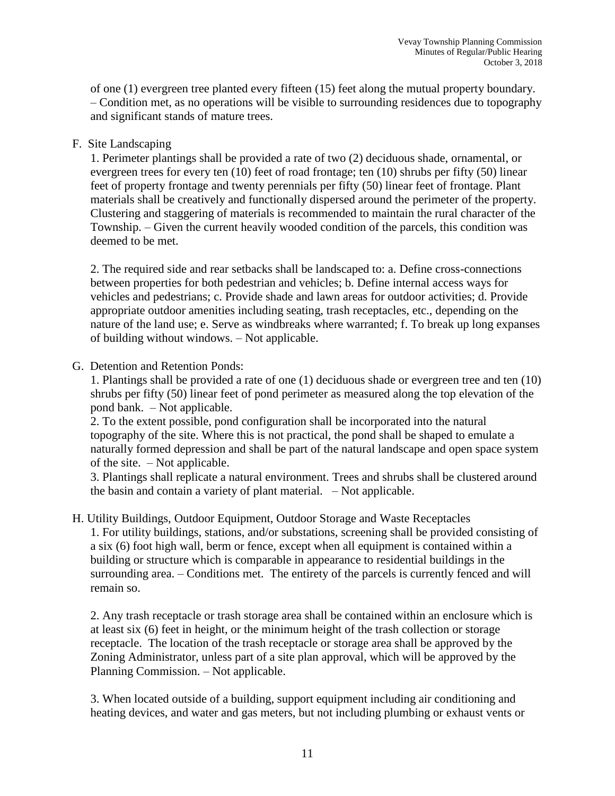of one (1) evergreen tree planted every fifteen (15) feet along the mutual property boundary. – Condition met, as no operations will be visible to surrounding residences due to topography and significant stands of mature trees.

### F. Site Landscaping

1. Perimeter plantings shall be provided a rate of two (2) deciduous shade, ornamental, or evergreen trees for every ten (10) feet of road frontage; ten (10) shrubs per fifty (50) linear feet of property frontage and twenty perennials per fifty (50) linear feet of frontage. Plant materials shall be creatively and functionally dispersed around the perimeter of the property. Clustering and staggering of materials is recommended to maintain the rural character of the Township. – Given the current heavily wooded condition of the parcels, this condition was deemed to be met.

2. The required side and rear setbacks shall be landscaped to: a. Define cross-connections between properties for both pedestrian and vehicles; b. Define internal access ways for vehicles and pedestrians; c. Provide shade and lawn areas for outdoor activities; d. Provide appropriate outdoor amenities including seating, trash receptacles, etc., depending on the nature of the land use; e. Serve as windbreaks where warranted; f. To break up long expanses of building without windows. – Not applicable.

### G. Detention and Retention Ponds:

1. Plantings shall be provided a rate of one (1) deciduous shade or evergreen tree and ten (10) shrubs per fifty (50) linear feet of pond perimeter as measured along the top elevation of the pond bank. – Not applicable.

2. To the extent possible, pond configuration shall be incorporated into the natural topography of the site. Where this is not practical, the pond shall be shaped to emulate a naturally formed depression and shall be part of the natural landscape and open space system of the site. – Not applicable.

3. Plantings shall replicate a natural environment. Trees and shrubs shall be clustered around the basin and contain a variety of plant material. – Not applicable.

H. Utility Buildings, Outdoor Equipment, Outdoor Storage and Waste Receptacles 1. For utility buildings, stations, and/or substations, screening shall be provided consisting of

a six (6) foot high wall, berm or fence, except when all equipment is contained within a building or structure which is comparable in appearance to residential buildings in the surrounding area. – Conditions met. The entirety of the parcels is currently fenced and will remain so.

2. Any trash receptacle or trash storage area shall be contained within an enclosure which is at least six (6) feet in height, or the minimum height of the trash collection or storage receptacle. The location of the trash receptacle or storage area shall be approved by the Zoning Administrator, unless part of a site plan approval, which will be approved by the Planning Commission. – Not applicable.

3. When located outside of a building, support equipment including air conditioning and heating devices, and water and gas meters, but not including plumbing or exhaust vents or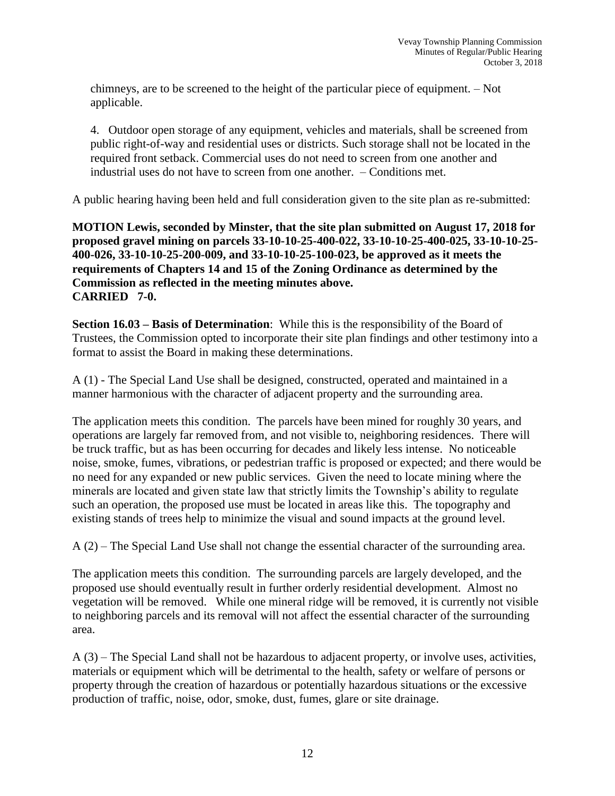chimneys, are to be screened to the height of the particular piece of equipment. – Not applicable.

4. Outdoor open storage of any equipment, vehicles and materials, shall be screened from public right-of-way and residential uses or districts. Such storage shall not be located in the required front setback. Commercial uses do not need to screen from one another and industrial uses do not have to screen from one another. – Conditions met.

A public hearing having been held and full consideration given to the site plan as re-submitted:

**MOTION Lewis, seconded by Minster, that the site plan submitted on August 17, 2018 for proposed gravel mining on parcels 33-10-10-25-400-022, 33-10-10-25-400-025, 33-10-10-25- 400-026, 33-10-10-25-200-009, and 33-10-10-25-100-023, be approved as it meets the requirements of Chapters 14 and 15 of the Zoning Ordinance as determined by the Commission as reflected in the meeting minutes above. CARRIED 7-0.**

**Section 16.03 – Basis of Determination**: While this is the responsibility of the Board of Trustees, the Commission opted to incorporate their site plan findings and other testimony into a format to assist the Board in making these determinations.

A (1) - The Special Land Use shall be designed, constructed, operated and maintained in a manner harmonious with the character of adjacent property and the surrounding area.

The application meets this condition. The parcels have been mined for roughly 30 years, and operations are largely far removed from, and not visible to, neighboring residences. There will be truck traffic, but as has been occurring for decades and likely less intense. No noticeable noise, smoke, fumes, vibrations, or pedestrian traffic is proposed or expected; and there would be no need for any expanded or new public services. Given the need to locate mining where the minerals are located and given state law that strictly limits the Township's ability to regulate such an operation, the proposed use must be located in areas like this. The topography and existing stands of trees help to minimize the visual and sound impacts at the ground level.

A (2) – The Special Land Use shall not change the essential character of the surrounding area.

The application meets this condition. The surrounding parcels are largely developed, and the proposed use should eventually result in further orderly residential development. Almost no vegetation will be removed. While one mineral ridge will be removed, it is currently not visible to neighboring parcels and its removal will not affect the essential character of the surrounding area.

A (3) – The Special Land shall not be hazardous to adjacent property, or involve uses, activities, materials or equipment which will be detrimental to the health, safety or welfare of persons or property through the creation of hazardous or potentially hazardous situations or the excessive production of traffic, noise, odor, smoke, dust, fumes, glare or site drainage.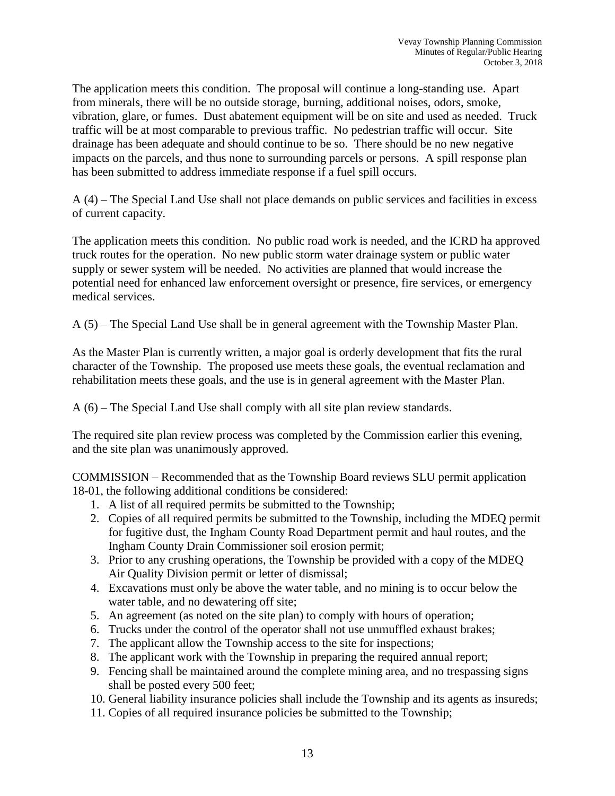The application meets this condition. The proposal will continue a long-standing use. Apart from minerals, there will be no outside storage, burning, additional noises, odors, smoke, vibration, glare, or fumes. Dust abatement equipment will be on site and used as needed. Truck traffic will be at most comparable to previous traffic. No pedestrian traffic will occur. Site drainage has been adequate and should continue to be so. There should be no new negative impacts on the parcels, and thus none to surrounding parcels or persons. A spill response plan has been submitted to address immediate response if a fuel spill occurs.

A (4) – The Special Land Use shall not place demands on public services and facilities in excess of current capacity.

The application meets this condition. No public road work is needed, and the ICRD ha approved truck routes for the operation. No new public storm water drainage system or public water supply or sewer system will be needed. No activities are planned that would increase the potential need for enhanced law enforcement oversight or presence, fire services, or emergency medical services.

A (5) – The Special Land Use shall be in general agreement with the Township Master Plan.

As the Master Plan is currently written, a major goal is orderly development that fits the rural character of the Township. The proposed use meets these goals, the eventual reclamation and rehabilitation meets these goals, and the use is in general agreement with the Master Plan.

A (6) – The Special Land Use shall comply with all site plan review standards.

The required site plan review process was completed by the Commission earlier this evening, and the site plan was unanimously approved.

COMMISSION – Recommended that as the Township Board reviews SLU permit application 18-01, the following additional conditions be considered:

- 1. A list of all required permits be submitted to the Township;
- 2. Copies of all required permits be submitted to the Township, including the MDEQ permit for fugitive dust, the Ingham County Road Department permit and haul routes, and the Ingham County Drain Commissioner soil erosion permit;
- 3. Prior to any crushing operations, the Township be provided with a copy of the MDEQ Air Quality Division permit or letter of dismissal;
- 4. Excavations must only be above the water table, and no mining is to occur below the water table, and no dewatering off site;
- 5. An agreement (as noted on the site plan) to comply with hours of operation;
- 6. Trucks under the control of the operator shall not use unmuffled exhaust brakes;
- 7. The applicant allow the Township access to the site for inspections;
- 8. The applicant work with the Township in preparing the required annual report;
- 9. Fencing shall be maintained around the complete mining area, and no trespassing signs shall be posted every 500 feet;
- 10. General liability insurance policies shall include the Township and its agents as insureds;
- 11. Copies of all required insurance policies be submitted to the Township;